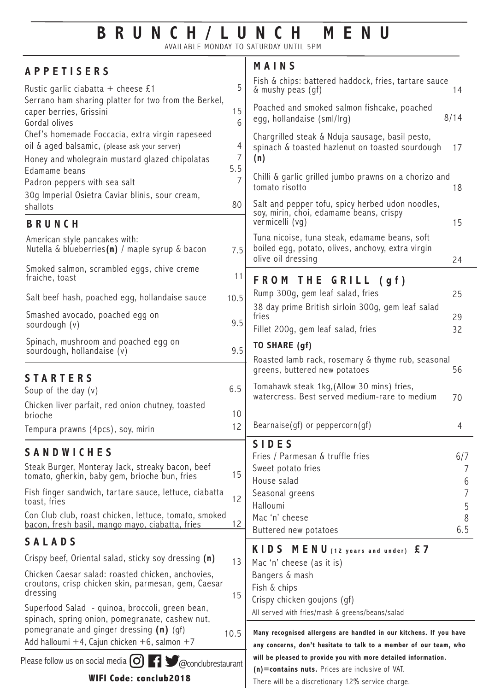## **BRUNCH/LUNCH MENU**

AVAILABLE MONDAY TO SATURDAY UNTIL 5PM Ŧ

| <b>APPETISERS</b>                                                                                                                                  |                       | MAINS                                                                                                                                                                  |               |
|----------------------------------------------------------------------------------------------------------------------------------------------------|-----------------------|------------------------------------------------------------------------------------------------------------------------------------------------------------------------|---------------|
| Rustic garlic ciabatta + cheese £1                                                                                                                 |                       | Fish & chips: battered haddock, fries, tartare sauce<br>& mushy peas (qf)                                                                                              | 14            |
| Serrano ham sharing platter for two from the Berkel,<br>caper berries, Grissini<br>Gordal olives                                                   | 15<br>6               | Poached and smoked salmon fishcake, poached<br>egg, hollandaise (sml/lrg)                                                                                              | 8/14          |
| Chef's homemade Foccacia, extra virgin rapeseed<br>oil & aged balsamic, (please ask your server)<br>Honey and wholegrain mustard glazed chipolatas |                       | Chargrilled steak & Nduja sausage, basil pesto,<br>spinach & toasted hazlenut on toasted sourdough<br>(n)                                                              | 17            |
| Edamame beans<br>Padron peppers with sea salt<br>30g Imperial Osietra Caviar blinis, sour cream,                                                   | 5.5<br>$\overline{7}$ | Chilli & garlic grilled jumbo prawns on a chorizo and<br>tomato risotto                                                                                                | 18            |
| shallots                                                                                                                                           | 80                    | Salt and pepper tofu, spicy herbed udon noodles,<br>soy, mirin, choi, edamame beans, crispy                                                                            |               |
| <b>BRUNCH</b>                                                                                                                                      |                       | vermicelli (vg)                                                                                                                                                        | 15            |
| American style pancakes with:<br>Nutella & blueberries(n) / maple syrup & bacon                                                                    | 7.5                   | Tuna nicoise, tuna steak, edamame beans, soft<br>boiled egg, potato, olives, anchovy, extra virgin<br>olive oil dressing                                               | 24            |
| Smoked salmon, scrambled eggs, chive creme<br>fraiche, toast                                                                                       | 11                    | FROM THE GRILL (gf)                                                                                                                                                    |               |
| Salt beef hash, poached egg, hollandaise sauce                                                                                                     | 10.5                  | Rump 300q, gem leaf salad, fries                                                                                                                                       | 25            |
| Smashed avocado, poached egg on<br>sourdough (v)                                                                                                   | 9.5                   | 38 day prime British sirloin 300g, gem leaf salad<br>fries<br>Fillet 200g, gem leaf salad, fries                                                                       | 29<br>32      |
| Spinach, mushroom and poached egg on                                                                                                               |                       | TO SHARE (gf)                                                                                                                                                          |               |
| sourdough, hollandaise (v)                                                                                                                         | 9.5                   | Roasted lamb rack, rosemary & thyme rub, seasonal<br>greens, buttered new potatoes                                                                                     | 56            |
| <b>STARTERS</b><br>Soup of the day $(v)$                                                                                                           | 6.5                   | Tomahawk steak 1kg, (Allow 30 mins) fries,<br>watercress. Best served medium-rare to medium                                                                            | 70            |
| Chicken liver parfait, red onion chutney, toasted<br>brioche                                                                                       | 10                    |                                                                                                                                                                        |               |
| Tempura prawns (4pcs), soy, mirin                                                                                                                  | 12                    | $\text{Bearnaise(gf)}$ or peppercorn(gf)                                                                                                                               | 4             |
| <b>SANDWICHES</b>                                                                                                                                  |                       | <b>SIDES</b><br>Fries / Parmesan & truffle fries                                                                                                                       |               |
| Steak Burger, Monteray Jack, streaky bacon, beef<br>tomato, gherkin, baby gem, brioche bun, fries                                                  | 15                    | Sweet potato fries<br>House salad                                                                                                                                      | 6/7<br>7<br>6 |
| Fish finger sandwich, tartare sauce, lettuce, ciabatta<br>toast, fries                                                                             | 12                    | Seasonal greens<br>Halloumi                                                                                                                                            | 7<br>5        |
| Con Club club, roast chicken, lettuce, tomato, smoked<br><u>bacon, fresh basil, mango mayo, ciabatta, fries</u>                                    | 12                    | Mac 'n' cheese                                                                                                                                                         | 8             |
| SALADS                                                                                                                                             |                       | Buttered new potatoes                                                                                                                                                  | 6.5           |
| Crispy beef, Oriental salad, sticky soy dressing (n)                                                                                               | 13                    | KIDS MENU (12 years and under) £7<br>Mac 'n' cheese (as it is)                                                                                                         |               |
| Chicken Caesar salad: roasted chicken, anchovies,<br>croutons, crisp chicken skin, parmesan, gem, Caesar<br>dressing                               | 15                    | Bangers & mash<br>Fish & chips<br>Crispy chicken goujons (gf)                                                                                                          |               |
| Superfood Salad - quinoa, broccoli, green bean,<br>spinach, spring onion, pomegranate, cashew nut,<br>pomegranate and ginger dressing $(n)$ (gf)   | 10.5                  | All served with fries/mash & greens/beans/salad<br>Many recognised allergens are handled in our kitchens. If you have                                                  |               |
| Add halloumi $+4$ , Cajun chicken $+6$ , salmon $+7$                                                                                               |                       | any concerns, don't hesitate to talk to a member of our team, who                                                                                                      |               |
| Please follow us on social media $\mathcal O$ $\mathcal O$<br><b>13</b> @conclubrestaurant<br><b>WIFI Code: conclub2018</b>                        |                       | will be pleased to provide you with more detailed information.<br>(n)=contains nuts. Prices are inclusive of VAT.<br>There will be a discretionary 12% service charge. |               |
|                                                                                                                                                    |                       |                                                                                                                                                                        |               |